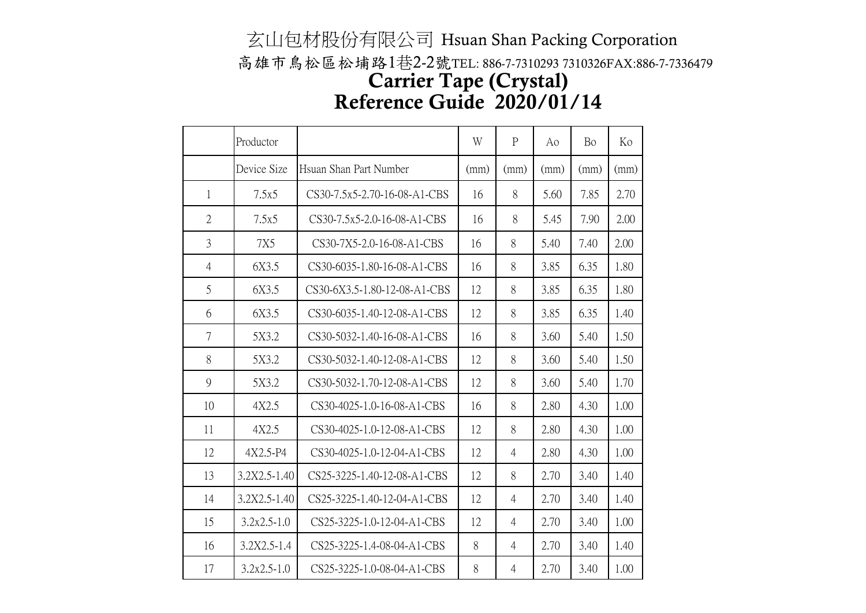## 玄山包材股份有限公司 Hsuan Shan Packing Corporation 高雄市鳥松區松埔路1巷2-2號TEL: 886-7-7310293 7310326FAX:886-7-7336479 Reference Guide 2020/01/14 Carrier Tape (Crystal)

|                | Productor       |                              | W    | $\mathbf{P}$   | Ao   | Bo   | Ko   |
|----------------|-----------------|------------------------------|------|----------------|------|------|------|
|                | Device Size     | Hsuan Shan Part Number       | (mm) | (mm)           | (mm) | (mm) | (mm) |
| $\mathbf{1}$   | 7.5x5           | CS30-7.5x5-2.70-16-08-A1-CBS | 16   | 8              | 5.60 | 7.85 | 2.70 |
| $\overline{2}$ | 7.5x5           | CS30-7.5x5-2.0-16-08-A1-CBS  | 16   | 8              | 5.45 | 7.90 | 2.00 |
| 3              | <b>7X5</b>      | CS30-7X5-2.0-16-08-A1-CBS    | 16   | 8              | 5.40 | 7.40 | 2.00 |
| $\overline{4}$ | 6X3.5           | CS30-6035-1.80-16-08-A1-CBS  | 16   | 8              | 3.85 | 6.35 | 1.80 |
| 5              | 6X3.5           | CS30-6X3.5-1.80-12-08-A1-CBS | 12   | 8              | 3.85 | 6.35 | 1.80 |
| 6              | 6X3.5           | CS30-6035-1.40-12-08-A1-CBS  | 12   | 8              | 3.85 | 6.35 | 1.40 |
| 7              | 5X3.2           | CS30-5032-1.40-16-08-A1-CBS  | 16   | 8              | 3.60 | 5.40 | 1.50 |
| 8              | 5X3.2           | CS30-5032-1.40-12-08-A1-CBS  | 12   | 8              | 3.60 | 5.40 | 1.50 |
| 9              | 5X3.2           | CS30-5032-1.70-12-08-A1-CBS  | 12   | 8              | 3.60 | 5.40 | 1.70 |
| 10             | 4X2.5           | CS30-4025-1.0-16-08-A1-CBS   | 16   | 8              | 2.80 | 4.30 | 1.00 |
| 11             | 4X2.5           | CS30-4025-1.0-12-08-A1-CBS   | 12   | 8              | 2.80 | 4.30 | 1.00 |
| 12             | $4X2.5 - P4$    | CS30-4025-1.0-12-04-A1-CBS   | 12   | 4              | 2.80 | 4.30 | 1.00 |
| 13             | 3.2X2.5-1.40    | CS25-3225-1.40-12-08-A1-CBS  | 12   | 8              | 2.70 | 3.40 | 1.40 |
| 14             | 3.2X2.5-1.40    | CS25-3225-1.40-12-04-A1-CBS  | 12   | 4              | 2.70 | 3.40 | 1.40 |
| 15             | $3.2x2.5 - 1.0$ | CS25-3225-1.0-12-04-A1-CBS   | 12   | $\overline{4}$ | 2.70 | 3.40 | 1.00 |
| 16             | 3.2X2.5-1.4     | CS25-3225-1.4-08-04-A1-CBS   | 8    | $\overline{4}$ | 2.70 | 3.40 | 1.40 |
| 17             | $3.2x2.5 - 1.0$ | CS25-3225-1.0-08-04-A1-CBS   | 8    | $\overline{4}$ | 2.70 | 3.40 | 1.00 |